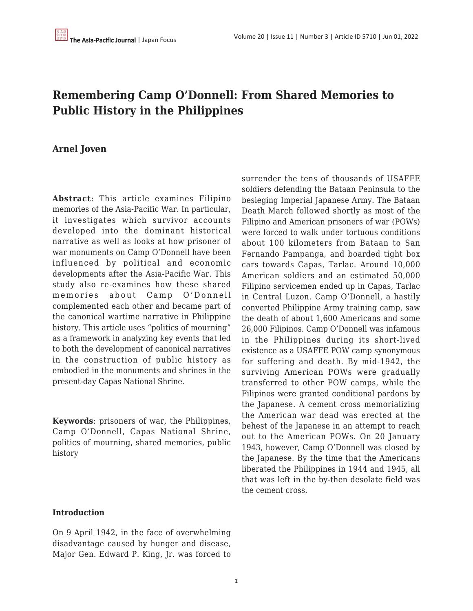# **Remembering Camp O'Donnell: From Shared Memories to Public History in the Philippines**

# **Arnel Joven**

**Abstract**: This article examines Filipino memories of the Asia-Pacific War. In particular, it investigates which survivor accounts developed into the dominant historical narrative as well as looks at how prisoner of war monuments on Camp O'Donnell have been influenced by political and economic developments after the Asia-Pacific War. This study also re-examines how these shared memories about Camp O'Donnell complemented each other and became part of the canonical wartime narrative in Philippine history. This article uses "politics of mourning" as a framework in analyzing key events that led to both the development of canonical narratives in the construction of public history as embodied in the monuments and shrines in the present-day Capas National Shrine.

**Keywords**: prisoners of war, the Philippines, Camp O'Donnell, Capas National Shrine, politics of mourning, shared memories, public history

#### **Introduction**

On 9 April 1942, in the face of overwhelming disadvantage caused by hunger and disease, Major Gen. Edward P. King, Jr. was forced to surrender the tens of thousands of USAFFE soldiers defending the Bataan Peninsula to the besieging Imperial Japanese Army. The Bataan Death March followed shortly as most of the Filipino and American prisoners of war (POWs) were forced to walk under tortuous conditions about 100 kilometers from Bataan to San Fernando Pampanga, and boarded tight box cars towards Capas, Tarlac. Around 10,000 American soldiers and an estimated 50,000 Filipino servicemen ended up in Capas, Tarlac in Central Luzon. Camp O'Donnell, a hastily converted Philippine Army training camp, saw the death of about 1,600 Americans and some 26,000 Filipinos. Camp O'Donnell was infamous in the Philippines during its short-lived existence as a USAFFE POW camp synonymous for suffering and death. By mid-1942, the surviving American POWs were gradually transferred to other POW camps, while the Filipinos were granted conditional pardons by the Japanese. A cement cross memorializing the American war dead was erected at the behest of the Japanese in an attempt to reach out to the American POWs. On 20 January 1943, however, Camp O'Donnell was closed by the Japanese. By the time that the Americans liberated the Philippines in 1944 and 1945, all that was left in the by-then desolate field was the cement cross.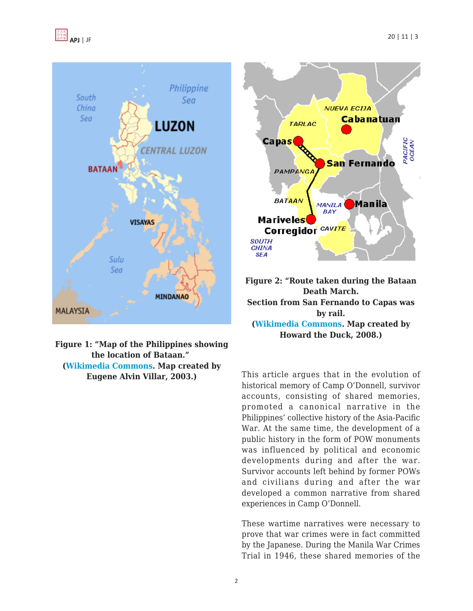



| Figure 1: "Map of the Philippines showing |
|-------------------------------------------|
| the location of Bataan."                  |
| <b>(Wikimedia Commons. Map created by</b> |
| Eugene Alvin Villar, 2003.)               |





This article argues that in the evolution of historical memory of Camp O'Donnell, survivor accounts, consisting of shared memories, promoted a canonical narrative in the Philippines' collective history of the Asia-Pacific War. At the same time, the development of a public history in the form of POW monuments was influenced by political and economic developments during and after the war. Survivor accounts left behind by former POWs and civilians during and after the war developed a common narrative from shared experiences in Camp O'Donnell.

These wartime narratives were necessary to prove that war crimes were in fact committed by the Japanese. During the Manila War Crimes Trial in 1946, these shared memories of the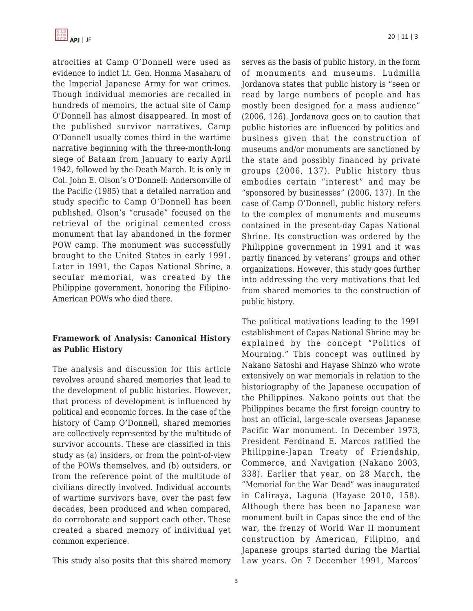

atrocities at Camp O'Donnell were used as evidence to indict Lt. Gen. Honma Masaharu of the Imperial Japanese Army for war crimes. Though individual memories are recalled in hundreds of memoirs, the actual site of Camp O'Donnell has almost disappeared. In most of the published survivor narratives, Camp O'Donnell usually comes third in the wartime narrative beginning with the three-month-long siege of Bataan from January to early April 1942, followed by the Death March. It is only in Col. John E. Olson's O'Donnell: Andersonville of the Pacific (1985) that a detailed narration and study specific to Camp O'Donnell has been published. Olson's "crusade" focused on the retrieval of the original cemented cross monument that lay abandoned in the former POW camp. The monument was successfully brought to the United States in early 1991. Later in 1991, the Capas National Shrine, a secular memorial, was created by the Philippine government, honoring the Filipino-American POWs who died there.

#### **Framework of Analysis: Canonical History as Public History**

The analysis and discussion for this article revolves around shared memories that lead to the development of public histories. However, that process of development is influenced by political and economic forces. In the case of the history of Camp O'Donnell, shared memories are collectively represented by the multitude of survivor accounts. These are classified in this study as (a) insiders, or from the point-of-view of the POWs themselves, and (b) outsiders, or from the reference point of the multitude of civilians directly involved. Individual accounts of wartime survivors have, over the past few decades, been produced and when compared, do corroborate and support each other. These created a shared memory of individual yet common experience.

This study also posits that this shared memory

serves as the basis of public history, in the form of monuments and museums. Ludmilla Jordanova states that public history is "seen or read by large numbers of people and has mostly been designed for a mass audience" (2006, 126). Jordanova goes on to caution that public histories are influenced by politics and business given that the construction of museums and/or monuments are sanctioned by the state and possibly financed by private groups (2006, 137). Public history thus embodies certain "interest" and may be "sponsored by businesses" (2006, 137). In the case of Camp O'Donnell, public history refers to the complex of monuments and museums contained in the present-day Capas National Shrine. Its construction was ordered by the Philippine government in 1991 and it was partly financed by veterans' groups and other organizations. However, this study goes further into addressing the very motivations that led from shared memories to the construction of public history.

The political motivations leading to the 1991 establishment of Capas National Shrine may be explained by the concept "Politics of Mourning." This concept was outlined by Nakano Satoshi and Hayase Shinzō who wrote extensively on war memorials in relation to the historiography of the Japanese occupation of the Philippines. Nakano points out that the Philippines became the first foreign country to host an official, large-scale overseas Japanese Pacific War monument. In December 1973, President Ferdinand E. Marcos ratified the Philippine-Japan Treaty of Friendship, Commerce, and Navigation (Nakano 2003, 338). Earlier that year, on 28 March, the "Memorial for the War Dead" was inaugurated in Caliraya, Laguna (Hayase 2010, 158). Although there has been no Japanese war monument built in Capas since the end of the war, the frenzy of World War II monument construction by American, Filipino, and Japanese groups started during the Martial Law years. On 7 December 1991, Marcos'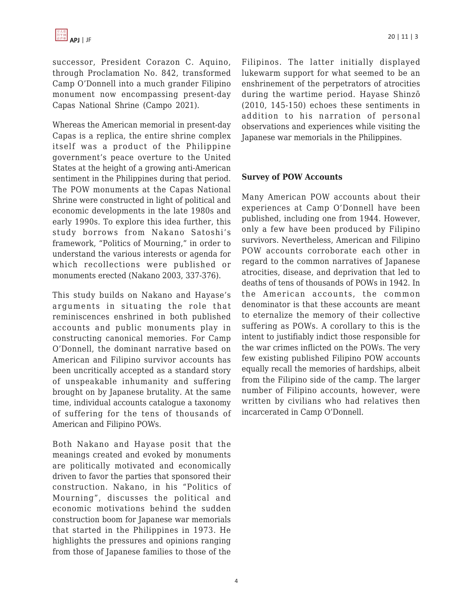successor, President Corazon C. Aquino, through Proclamation No. 842, transformed Camp O'Donnell into a much grander Filipino monument now encompassing present-day Capas National Shrine (Campo 2021).

Whereas the American memorial in present-day Capas is a replica, the entire shrine complex itself was a product of the Philippine government's peace overture to the United States at the height of a growing anti-American sentiment in the Philippines during that period. The POW monuments at the Capas National Shrine were constructed in light of political and economic developments in the late 1980s and early 1990s. To explore this idea further, this study borrows from Nakano Satoshi's framework, "Politics of Mourning," in order to understand the various interests or agenda for which recollections were published or monuments erected (Nakano 2003, 337-376).

This study builds on Nakano and Hayase's arguments in situating the role that reminiscences enshrined in both published accounts and public monuments play in constructing canonical memories. For Camp O'Donnell, the dominant narrative based on American and Filipino survivor accounts has been uncritically accepted as a standard story of unspeakable inhumanity and suffering brought on by Japanese brutality. At the same time, individual accounts catalogue a taxonomy of suffering for the tens of thousands of American and Filipino POWs.

Both Nakano and Hayase posit that the meanings created and evoked by monuments are politically motivated and economically driven to favor the parties that sponsored their construction. Nakano, in his "Politics of Mourning", discusses the political and economic motivations behind the sudden construction boom for Japanese war memorials that started in the Philippines in 1973. He highlights the pressures and opinions ranging from those of Japanese families to those of the Filipinos. The latter initially displayed lukewarm support for what seemed to be an enshrinement of the perpetrators of atrocities during the wartime period. Hayase Shinzō (2010, 145-150) echoes these sentiments in addition to his narration of personal observations and experiences while visiting the Japanese war memorials in the Philippines.

#### **Survey of POW Accounts**

Many American POW accounts about their experiences at Camp O'Donnell have been published, including one from 1944. However, only a few have been produced by Filipino survivors. Nevertheless, American and Filipino POW accounts corroborate each other in regard to the common narratives of Japanese atrocities, disease, and deprivation that led to deaths of tens of thousands of POWs in 1942. In the American accounts, the common denominator is that these accounts are meant to eternalize the memory of their collective suffering as POWs. A corollary to this is the intent to justifiably indict those responsible for the war crimes inflicted on the POWs. The very few existing published Filipino POW accounts equally recall the memories of hardships, albeit from the Filipino side of the camp. The larger number of Filipino accounts, however, were written by civilians who had relatives then incarcerated in Camp O'Donnell.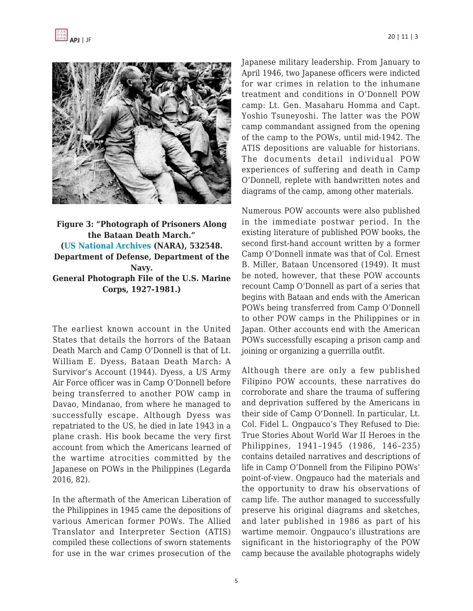



# **Figure 3: "Photograph of Prisoners Along the Bataan Death March." [\(US National Archives](https://catalog.archives.gov/id/532548) (NARA), 532548. Department of Defense, Department of the Navy. General Photograph File of the U.S. Marine Corps, 1927-1981.)**

The earliest known account in the United States that details the horrors of the Bataan Death March and Camp O'Donnell is that of Lt. William E. Dyess, Bataan Death March: A Survivor's Account (1944). Dyess, a US Army Air Force officer was in Camp O'Donnell before being transferred to another POW camp in Davao, Mindanao, from where he managed to successfully escape. Although Dyess was repatriated to the US, he died in late 1943 in a plane crash. His book became the very first account from which the Americans learned of the wartime atrocities committed by the Japanese on POWs in the Philippines (Legarda 2016, 82).

In the aftermath of the American Liberation of the Philippines in 1945 came the depositions of various American former POWs. The Allied Translator and Interpreter Section (ATIS) compiled these collections of sworn statements for use in the war crimes prosecution of the Japanese military leadership. From January to April 1946, two Japanese officers were indicted for war crimes in relation to the inhumane treatment and conditions in O'Donnell POW camp: Lt. Gen. Masaharu Homma and Capt. Yoshio Tsuneyoshi. The latter was the POW camp commandant assigned from the opening of the camp to the POWs, until mid-1942. The ATIS depositions are valuable for historians. The documents detail individual POW experiences of suffering and death in Camp O'Donnell, replete with handwritten notes and diagrams of the camp, among other materials.

Numerous POW accounts were also published in the immediate postwar period. In the existing literature of published POW books, the second first-hand account written by a former Camp O'Donnell inmate was that of Col. Ernest B. Miller, Bataan Uncensored (1949). It must be noted, however, that these POW accounts recount Camp O'Donnell as part of a series that begins with Bataan and ends with the American POWs being transferred from Camp O'Donnell to other POW camps in the Philippines or in Japan. Other accounts end with the American POWs successfully escaping a prison camp and joining or organizing a guerrilla outfit.

Although there are only a few published Filipino POW accounts, these narratives do corroborate and share the trauma of suffering and deprivation suffered by the Americans in their side of Camp O'Donnell. In particular, Lt. Col. Fidel L. Ongpauco's They Refused to Die: True Stories About World War II Heroes in the Philippines, 1941–1945 (1986, 146–235) contains detailed narratives and descriptions of life in Camp O'Donnell from the Filipino POWs' point-of-view. Ongpauco had the materials and the opportunity to draw his observations of camp life. The author managed to successfully preserve his original diagrams and sketches, and later published in 1986 as part of his wartime memoir. Ongpauco's illustrations are significant in the historiography of the POW camp because the available photographs widely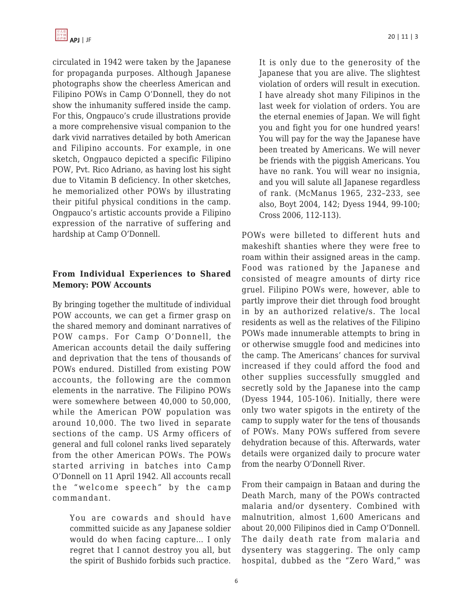

circulated in 1942 were taken by the Japanese for propaganda purposes. Although Japanese photographs show the cheerless American and Filipino POWs in Camp O'Donnell, they do not show the inhumanity suffered inside the camp. For this, Ongpauco's crude illustrations provide a more comprehensive visual companion to the dark vivid narratives detailed by both American and Filipino accounts. For example, in one sketch, Ongpauco depicted a specific Filipino POW, Pvt. Rico Adriano, as having lost his sight due to Vitamin B deficiency. In other sketches, he memorialized other POWs by illustrating their pitiful physical conditions in the camp. Ongpauco's artistic accounts provide a Filipino expression of the narrative of suffering and hardship at Camp O'Donnell.

#### **From Individual Experiences to Shared Memory: POW Accounts**

By bringing together the multitude of individual POW accounts, we can get a firmer grasp on the shared memory and dominant narratives of POW camps. For Camp O'Donnell, the American accounts detail the daily suffering and deprivation that the tens of thousands of POWs endured. Distilled from existing POW accounts, the following are the common elements in the narrative. The Filipino POWs were somewhere between 40,000 to 50,000, while the American POW population was around 10,000. The two lived in separate sections of the camp. US Army officers of general and full colonel ranks lived separately from the other American POWs. The POWs started arriving in batches into Camp O'Donnell on 11 April 1942. All accounts recall the "welcome speech" by the camp commandant.

You are cowards and should have committed suicide as any Japanese soldier would do when facing capture… I only regret that I cannot destroy you all, but the spirit of Bushido forbids such practice. It is only due to the generosity of the Japanese that you are alive. The slightest violation of orders will result in execution. I have already shot many Filipinos in the last week for violation of orders. You are the eternal enemies of Japan. We will fight you and fight you for one hundred years! You will pay for the way the Japanese have been treated by Americans. We will never be friends with the piggish Americans. You have no rank. You will wear no insignia, and you will salute all Japanese regardless of rank. (McManus 1965, 232–233, see also, Boyt 2004, 142; Dyess 1944, 99-100; Cross 2006, 112-113).

POWs were billeted to different huts and makeshift shanties where they were free to roam within their assigned areas in the camp. Food was rationed by the Japanese and consisted of meagre amounts of dirty rice gruel. Filipino POWs were, however, able to partly improve their diet through food brought in by an authorized relative/s. The local residents as well as the relatives of the Filipino POWs made innumerable attempts to bring in or otherwise smuggle food and medicines into the camp. The Americans' chances for survival increased if they could afford the food and other supplies successfully smuggled and secretly sold by the Japanese into the camp (Dyess 1944, 105-106). Initially, there were only two water spigots in the entirety of the camp to supply water for the tens of thousands of POWs. Many POWs suffered from severe dehydration because of this. Afterwards, water details were organized daily to procure water from the nearby O'Donnell River.

From their campaign in Bataan and during the Death March, many of the POWs contracted malaria and/or dysentery. Combined with malnutrition, almost 1,600 Americans and about 20,000 Filipinos died in Camp O'Donnell. The daily death rate from malaria and dysentery was staggering. The only camp hospital, dubbed as the "Zero Ward," was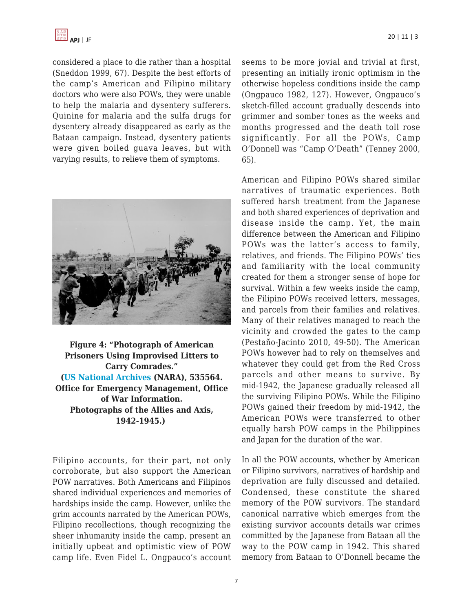considered a place to die rather than a hospital (Sneddon 1999, 67). Despite the best efforts of the camp's American and Filipino military doctors who were also POWs, they were unable to help the malaria and dysentery sufferers. Quinine for malaria and the sulfa drugs for dysentery already disappeared as early as the Bataan campaign. Instead, dysentery patients were given boiled guava leaves, but with varying results, to relieve them of symptoms.



**Figure 4: "Photograph of American Prisoners Using Improvised Litters to Carry Comrades." [\(US National Archives](https://catalog.archives.gov/id/535564) (NARA), 535564. Office for Emergency Management, Office of War Information. Photographs of the Allies and Axis, 1942-1945.)**

Filipino accounts, for their part, not only corroborate, but also support the American POW narratives. Both Americans and Filipinos shared individual experiences and memories of hardships inside the camp. However, unlike the grim accounts narrated by the American POWs, Filipino recollections, though recognizing the sheer inhumanity inside the camp, present an initially upbeat and optimistic view of POW camp life. Even Fidel L. Ongpauco's account seems to be more jovial and trivial at first, presenting an initially ironic optimism in the otherwise hopeless conditions inside the camp (Ongpauco 1982, 127). However, Ongpauco's sketch-filled account gradually descends into grimmer and somber tones as the weeks and months progressed and the death toll rose significantly. For all the POWs, Camp O'Donnell was "Camp O'Death" (Tenney 2000, 65).

American and Filipino POWs shared similar narratives of traumatic experiences. Both suffered harsh treatment from the Japanese and both shared experiences of deprivation and disease inside the camp. Yet, the main difference between the American and Filipino POWs was the latter's access to family, relatives, and friends. The Filipino POWs' ties and familiarity with the local community created for them a stronger sense of hope for survival. Within a few weeks inside the camp, the Filipino POWs received letters, messages, and parcels from their families and relatives. Many of their relatives managed to reach the vicinity and crowded the gates to the camp (Pestaño-Jacinto 2010, 49-50). The American POWs however had to rely on themselves and whatever they could get from the Red Cross parcels and other means to survive. By mid-1942, the Japanese gradually released all the surviving Filipino POWs. While the Filipino POWs gained their freedom by mid-1942, the American POWs were transferred to other equally harsh POW camps in the Philippines and Japan for the duration of the war.

In all the POW accounts, whether by American or Filipino survivors, narratives of hardship and deprivation are fully discussed and detailed. Condensed, these constitute the shared memory of the POW survivors. The standard canonical narrative which emerges from the existing survivor accounts details war crimes committed by the Japanese from Bataan all the way to the POW camp in 1942. This shared memory from Bataan to O'Donnell became the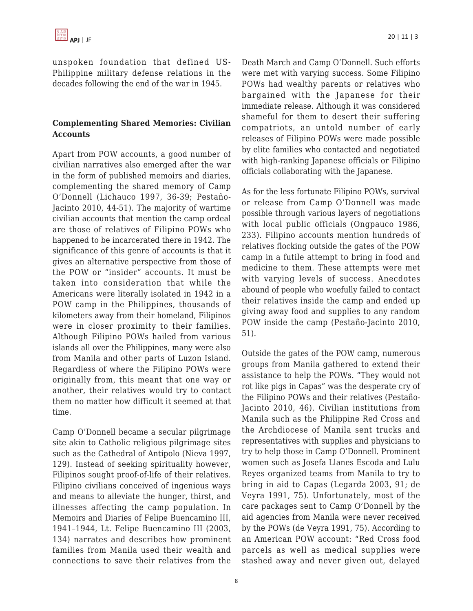unspoken foundation that defined US-Philippine military defense relations in the decades following the end of the war in 1945.

### **Complementing Shared Memories: Civilian Accounts**

Apart from POW accounts, a good number of civilian narratives also emerged after the war in the form of published memoirs and diaries, complementing the shared memory of Camp O'Donnell (Lichauco 1997, 36-39; Pestaño-Jacinto 2010, 44-51). The majority of wartime civilian accounts that mention the camp ordeal are those of relatives of Filipino POWs who happened to be incarcerated there in 1942. The significance of this genre of accounts is that it gives an alternative perspective from those of the POW or "insider" accounts. It must be taken into consideration that while the Americans were literally isolated in 1942 in a POW camp in the Philippines, thousands of kilometers away from their homeland, Filipinos were in closer proximity to their families. Although Filipino POWs hailed from various islands all over the Philippines, many were also from Manila and other parts of Luzon Island. Regardless of where the Filipino POWs were originally from, this meant that one way or another, their relatives would try to contact them no matter how difficult it seemed at that time.

Camp O'Donnell became a secular pilgrimage site akin to Catholic religious pilgrimage sites such as the Cathedral of Antipolo (Nieva 1997, 129). Instead of seeking spirituality however, Filipinos sought proof-of-life of their relatives. Filipino civilians conceived of ingenious ways and means to alleviate the hunger, thirst, and illnesses affecting the camp population. In Memoirs and Diaries of Felipe Buencamino III, 1941–1944, Lt. Felipe Buencamino III (2003, 134) narrates and describes how prominent families from Manila used their wealth and connections to save their relatives from the Death March and Camp O'Donnell. Such efforts were met with varying success. Some Filipino POWs had wealthy parents or relatives who bargained with the Japanese for their immediate release. Although it was considered shameful for them to desert their suffering compatriots, an untold number of early releases of Filipino POWs were made possible by elite families who contacted and negotiated with high-ranking Japanese officials or Filipino officials collaborating with the Japanese.

As for the less fortunate Filipino POWs, survival or release from Camp O'Donnell was made possible through various layers of negotiations with local public officials (Ongpauco 1986, 233). Filipino accounts mention hundreds of relatives flocking outside the gates of the POW camp in a futile attempt to bring in food and medicine to them. These attempts were met with varying levels of success. Anecdotes abound of people who woefully failed to contact their relatives inside the camp and ended up giving away food and supplies to any random POW inside the camp (Pestaño-Jacinto 2010, 51).

Outside the gates of the POW camp, numerous groups from Manila gathered to extend their assistance to help the POWs. "They would not rot like pigs in Capas" was the desperate cry of the Filipino POWs and their relatives (Pestaño-Jacinto 2010, 46). Civilian institutions from Manila such as the Philippine Red Cross and the Archdiocese of Manila sent trucks and representatives with supplies and physicians to try to help those in Camp O'Donnell. Prominent women such as Josefa Llanes Escoda and Lulu Reyes organized teams from Manila to try to bring in aid to Capas (Legarda 2003, 91; de Veyra 1991, 75). Unfortunately, most of the care packages sent to Camp O'Donnell by the aid agencies from Manila were never received by the POWs (de Veyra 1991, 75). According to an American POW account: "Red Cross food parcels as well as medical supplies were stashed away and never given out, delayed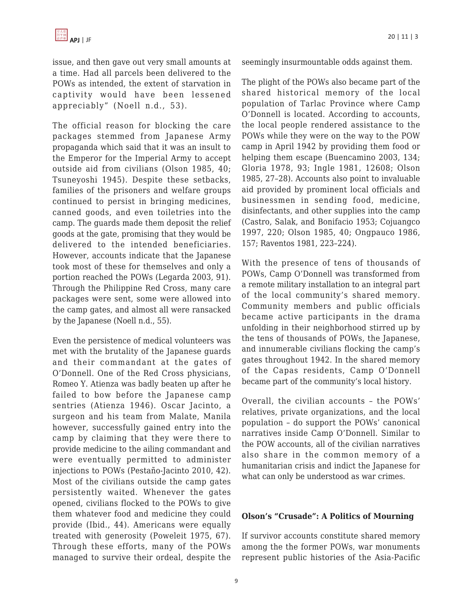issue, and then gave out very small amounts at a time. Had all parcels been delivered to the POWs as intended, the extent of starvation in captivity would have been lessened appreciably" (Noell n.d., 53).

The official reason for blocking the care packages stemmed from Japanese Army propaganda which said that it was an insult to the Emperor for the Imperial Army to accept outside aid from civilians (Olson 1985, 40; Tsuneyoshi 1945). Despite these setbacks, families of the prisoners and welfare groups continued to persist in bringing medicines, canned goods, and even toiletries into the camp. The guards made them deposit the relief goods at the gate, promising that they would be delivered to the intended beneficiaries. However, accounts indicate that the Japanese took most of these for themselves and only a portion reached the POWs (Legarda 2003, 91). Through the Philippine Red Cross, many care packages were sent, some were allowed into the camp gates, and almost all were ransacked by the Japanese (Noell n.d., 55).

Even the persistence of medical volunteers was met with the brutality of the Japanese guards and their commandant at the gates of O'Donnell. One of the Red Cross physicians, Romeo Y. Atienza was badly beaten up after he failed to bow before the Japanese camp sentries (Atienza 1946). Oscar Jacinto, a surgeon and his team from Malate, Manila however, successfully gained entry into the camp by claiming that they were there to provide medicine to the ailing commandant and were eventually permitted to administer injections to POWs (Pestaño-Jacinto 2010, 42). Most of the civilians outside the camp gates persistently waited. Whenever the gates opened, civilians flocked to the POWs to give them whatever food and medicine they could provide (Ibid., 44). Americans were equally treated with generosity (Poweleit 1975, 67). Through these efforts, many of the POWs managed to survive their ordeal, despite the seemingly insurmountable odds against them.

The plight of the POWs also became part of the shared historical memory of the local population of Tarlac Province where Camp O'Donnell is located. According to accounts, the local people rendered assistance to the POWs while they were on the way to the POW camp in April 1942 by providing them food or helping them escape (Buencamino 2003, 134; Gloria 1978, 93; Ingle 1981, 12608; Olson 1985, 27–28). Accounts also point to invaluable aid provided by prominent local officials and businessmen in sending food, medicine, disinfectants, and other supplies into the camp (Castro, Salak, and Bonifacio 1953; Cojuangco 1997, 220; Olson 1985, 40; Ongpauco 1986, 157; Raventos 1981, 223–224).

With the presence of tens of thousands of POWs, Camp O'Donnell was transformed from a remote military installation to an integral part of the local community's shared memory. Community members and public officials became active participants in the drama unfolding in their neighborhood stirred up by the tens of thousands of POWs, the Japanese, and innumerable civilians flocking the camp's gates throughout 1942. In the shared memory of the Capas residents, Camp O'Donnell became part of the community's local history.

Overall, the civilian accounts – the POWs' relatives, private organizations, and the local population – do support the POWs' canonical narratives inside Camp O'Donnell. Similar to the POW accounts, all of the civilian narratives also share in the common memory of a humanitarian crisis and indict the Japanese for what can only be understood as war crimes.

#### **Olson's "Crusade": A Politics of Mourning**

If survivor accounts constitute shared memory among the the former POWs, war monuments represent public histories of the Asia-Pacific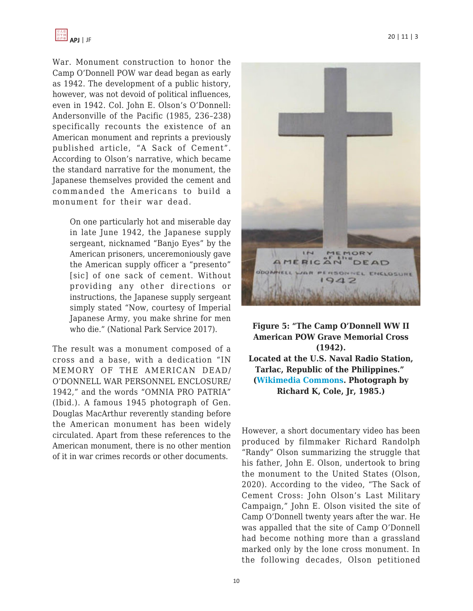

War. Monument construction to honor the Camp O'Donnell POW war dead began as early as 1942. The development of a public history, however, was not devoid of political influences, even in 1942. Col. John E. Olson's O'Donnell: Andersonville of the Pacific (1985, 236–238) specifically recounts the existence of an American monument and reprints a previously published article, "A Sack of Cement". According to Olson's narrative, which became the standard narrative for the monument, the Japanese themselves provided the cement and commanded the Americans to build a monument for their war dead.

On one particularly hot and miserable day in late June 1942, the Japanese supply sergeant, nicknamed "Banjo Eyes" by the American prisoners, unceremoniously gave the American supply officer a "presento" [sic] of one sack of cement. Without providing any other directions or instructions, the Japanese supply sergeant simply stated "Now, courtesy of Imperial Japanese Army, you make shrine for men who die." (National Park Service 2017).

The result was a monument composed of a cross and a base, with a dedication "IN MEMORY OF THE AMERICAN DEAD/ O'DONNELL WAR PERSONNEL ENCLOSURE/ 1942," and the words "OMNIA PRO PATRIA" (Ibid.). A famous 1945 photograph of Gen. Douglas MacArthur reverently standing before the American monument has been widely circulated. Apart from these references to the American monument, there is no other mention of it in war crimes records or other documents.



**Figure 5: "The Camp O'Donnell WW II American POW Grave Memorial Cross (1942). Located at the U.S. Naval Radio Station, Tarlac, Republic of the Philippines." ([Wikimedia Commons.](https://commons.wikimedia.org/wiki/File:CampODonnellPOWMemorialCross.jpg) Photograph by Richard K, Cole, Jr, 1985.)**

However, a short documentary video has been produced by filmmaker Richard Randolph "Randy" Olson summarizing the struggle that his father, John E. Olson, undertook to bring the monument to the United States (Olson, 2020). According to the video, "The Sack of Cement Cross: John Olson's Last Military Campaign," John E. Olson visited the site of Camp O'Donnell twenty years after the war. He was appalled that the site of Camp O'Donnell had become nothing more than a grassland marked only by the lone cross monument. In the following decades, Olson petitioned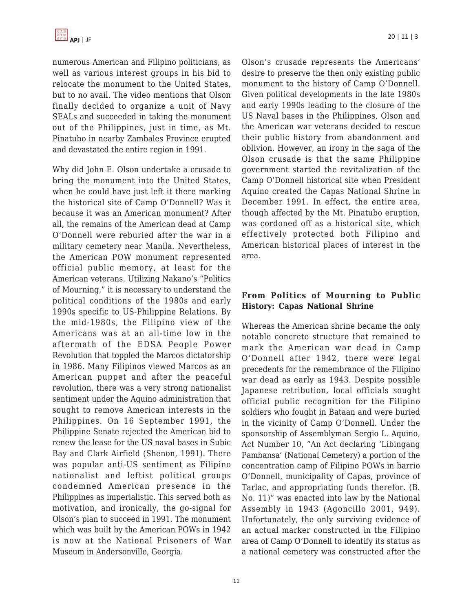numerous American and Filipino politicians, as well as various interest groups in his bid to relocate the monument to the United States, but to no avail. The video mentions that Olson finally decided to organize a unit of Navy SEALs and succeeded in taking the monument out of the Philippines, just in time, as Mt. Pinatubo in nearby Zambales Province erupted and devastated the entire region in 1991.

Why did John E. Olson undertake a crusade to bring the monument into the United States, when he could have just left it there marking the historical site of Camp O'Donnell? Was it because it was an American monument? After all, the remains of the American dead at Camp O'Donnell were reburied after the war in a military cemetery near Manila. Nevertheless, the American POW monument represented official public memory, at least for the American veterans. Utilizing Nakano's "Politics of Mourning," it is necessary to understand the political conditions of the 1980s and early 1990s specific to US-Philippine Relations. By the mid-1980s, the Filipino view of the Americans was at an all-time low in the aftermath of the EDSA People Power Revolution that toppled the Marcos dictatorship in 1986. Many Filipinos viewed Marcos as an American puppet and after the peaceful revolution, there was a very strong nationalist sentiment under the Aquino administration that sought to remove American interests in the Philippines. On 16 September 1991, the Philippine Senate rejected the American bid to renew the lease for the US naval bases in Subic Bay and Clark Airfield (Shenon, 1991). There was popular anti-US sentiment as Filipino nationalist and leftist political groups condemned American presence in the Philippines as imperialistic. This served both as motivation, and ironically, the go-signal for Olson's plan to succeed in 1991. The monument which was built by the American POWs in 1942 is now at the National Prisoners of War Museum in Andersonville, Georgia.

Olson's crusade represents the Americans' desire to preserve the then only existing public monument to the history of Camp O'Donnell. Given political developments in the late 1980s and early 1990s leading to the closure of the US Naval bases in the Philippines, Olson and the American war veterans decided to rescue their public history from abandonment and oblivion. However, an irony in the saga of the Olson crusade is that the same Philippine government started the revitalization of the Camp O'Donnell historical site when President Aquino created the Capas National Shrine in December 1991. In effect, the entire area, though affected by the Mt. Pinatubo eruption, was cordoned off as a historical site, which effectively protected both Filipino and American historical places of interest in the area.

# **From Politics of Mourning to Public History: Capas National Shrine**

Whereas the American shrine became the only notable concrete structure that remained to mark the American war dead in Camp O'Donnell after 1942, there were legal precedents for the remembrance of the Filipino war dead as early as 1943. Despite possible Japanese retribution, local officials sought official public recognition for the Filipino soldiers who fought in Bataan and were buried in the vicinity of Camp O'Donnell. Under the sponsorship of Assemblyman Sergio L. Aquino, Act Number 10, "An Act declaring 'Libingang Pambansa' (National Cemetery) a portion of the concentration camp of Filipino POWs in barrio O'Donnell, municipality of Capas, province of Tarlac, and appropriating funds therefor. (B. No. 11)" was enacted into law by the National Assembly in 1943 (Agoncillo 2001, 949). Unfortunately, the only surviving evidence of an actual marker constructed in the Filipino area of Camp O'Donnell to identify its status as a national cemetery was constructed after the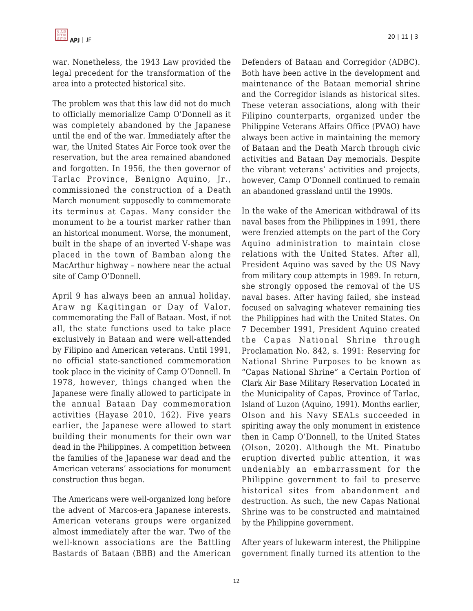war. Nonetheless, the 1943 Law provided the legal precedent for the transformation of the area into a protected historical site.

The problem was that this law did not do much to officially memorialize Camp O'Donnell as it was completely abandoned by the Japanese until the end of the war. Immediately after the war, the United States Air Force took over the reservation, but the area remained abandoned and forgotten. In 1956, the then governor of Tarlac Province, Benigno Aquino, Jr., commissioned the construction of a Death March monument supposedly to commemorate its terminus at Capas. Many consider the monument to be a tourist marker rather than an historical monument. Worse, the monument, built in the shape of an inverted V-shape was placed in the town of Bamban along the MacArthur highway – nowhere near the actual site of Camp O'Donnell.

April 9 has always been an annual holiday, Araw ng Kagitingan or Day of Valor, commemorating the Fall of Bataan. Most, if not all, the state functions used to take place exclusively in Bataan and were well-attended by Filipino and American veterans. Until 1991, no official state-sanctioned commemoration took place in the vicinity of Camp O'Donnell. In 1978, however, things changed when the Japanese were finally allowed to participate in the annual Bataan Day commemoration activities (Hayase 2010, 162). Five years earlier, the Japanese were allowed to start building their monuments for their own war dead in the Philippines. A competition between the families of the Japanese war dead and the American veterans' associations for monument construction thus began.

The Americans were well-organized long before the advent of Marcos-era Japanese interests. American veterans groups were organized almost immediately after the war. Two of the well-known associations are the Battling Bastards of Bataan (BBB) and the American Defenders of Bataan and Corregidor (ADBC). Both have been active in the development and maintenance of the Bataan memorial shrine and the Corregidor islands as historical sites. These veteran associations, along with their Filipino counterparts, organized under the Philippine Veterans Affairs Office (PVAO) have always been active in maintaining the memory of Bataan and the Death March through civic activities and Bataan Day memorials. Despite the vibrant veterans' activities and projects, however, Camp O'Donnell continued to remain an abandoned grassland until the 1990s.

In the wake of the American withdrawal of its naval bases from the Philippines in 1991, there were frenzied attempts on the part of the Cory Aquino administration to maintain close relations with the United States. After all, President Aquino was saved by the US Navy from military coup attempts in 1989. In return, she strongly opposed the removal of the US naval bases. After having failed, she instead focused on salvaging whatever remaining ties the Philippines had with the United States. On 7 December 1991, President Aquino created the Capas National Shrine through Proclamation No. 842, s. 1991: Reserving for National Shrine Purposes to be known as "Capas National Shrine" a Certain Portion of Clark Air Base Military Reservation Located in the Municipality of Capas, Province of Tarlac, Island of Luzon (Aquino, 1991). Months earlier, Olson and his Navy SEALs succeeded in spiriting away the only monument in existence then in Camp O'Donnell, to the United States (Olson, 2020). Although the Mt. Pinatubo eruption diverted public attention, it was undeniably an embarrassment for the Philippine government to fail to preserve historical sites from abandonment and destruction. As such, the new Capas National Shrine was to be constructed and maintained by the Philippine government.

After years of lukewarm interest, the Philippine government finally turned its attention to the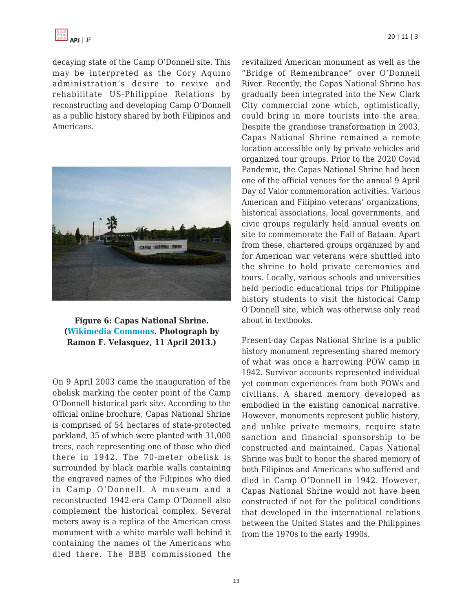

decaying state of the Camp O'Donnell site. This may be interpreted as the Cory Aquino administration's desire to revive and rehabilitate US-Philippine Relations by reconstructing and developing Camp O'Donnell as a public history shared by both Filipinos and Americans.



**Figure 6: Capas National Shrine. ([Wikimedia Commons.](https://commons.wikimedia.org/wiki/File:CapasNationalShrine11abcdjf4316_12.JPG) Photograph by Ramon F. Velasquez, 11 April 2013.)**

On 9 April 2003 came the inauguration of the obelisk marking the center point of the Camp O'Donnell historical park site. According to the official online brochure, Capas National Shrine is comprised of 54 hectares of state-protected parkland, 35 of which were planted with 31,000 trees, each representing one of those who died there in 1942. The 70-meter obelisk is surrounded by black marble walls containing the engraved names of the Filipinos who died in Camp O'Donnell. A museum and a reconstructed 1942-era Camp O'Donnell also complement the historical complex. Several meters away is a replica of the American cross monument with a white marble wall behind it containing the names of the Americans who died there. The BBB commissioned the revitalized American monument as well as the "Bridge of Remembrance" over O'Donnell River. Recently, the Capas National Shrine has gradually been integrated into the New Clark City commercial zone which, optimistically, could bring in more tourists into the area. Despite the grandiose transformation in 2003, Capas National Shrine remained a remote location accessible only by private vehicles and organized tour groups. Prior to the 2020 Covid Pandemic, the Capas National Shrine had been one of the official venues for the annual 9 April Day of Valor commemoration activities. Various American and Filipino veterans' organizations, historical associations, local governments, and civic groups regularly held annual events on site to commemorate the Fall of Bataan. Apart from these, chartered groups organized by and for American war veterans were shuttled into the shrine to hold private ceremonies and tours. Locally, various schools and universities held periodic educational trips for Philippine history students to visit the historical Camp O'Donnell site, which was otherwise only read about in textbooks.

Present-day Capas National Shrine is a public history monument representing shared memory of what was once a harrowing POW camp in 1942. Survivor accounts represented individual yet common experiences from both POWs and civilians. A shared memory developed as embodied in the existing canonical narrative. However, monuments represent public history, and unlike private memoirs, require state sanction and financial sponsorship to be constructed and maintained. Capas National Shrine was built to honor the shared memory of both Filipinos and Americans who suffered and died in Camp O'Donnell in 1942. However, Capas National Shrine would not have been constructed if not for the political conditions that developed in the international relations between the United States and the Philippines from the 1970s to the early 1990s.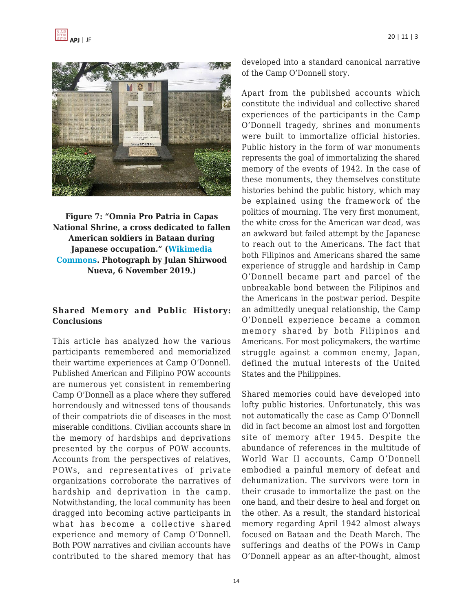

**Figure 7: "Omnia Pro Patria in Capas National Shrine, a cross dedicated to fallen American soldiers in Bataan during Japanese occupation." [\(Wikimedia](https://commons.wikimedia.org/wiki/File:Omnia_Pro_Patria_in_Capas_National_Shrine.jpg) [Commons.](https://commons.wikimedia.org/wiki/File:Omnia_Pro_Patria_in_Capas_National_Shrine.jpg) Photograph by Julan Shirwood Nueva, 6 November 2019.)**

#### **Shared Memory and Public History: Conclusions**

This article has analyzed how the various participants remembered and memorialized their wartime experiences at Camp O'Donnell. Published American and Filipino POW accounts are numerous yet consistent in remembering Camp O'Donnell as a place where they suffered horrendously and witnessed tens of thousands of their compatriots die of diseases in the most miserable conditions. Civilian accounts share in the memory of hardships and deprivations presented by the corpus of POW accounts. Accounts from the perspectives of relatives, POWs, and representatives of private organizations corroborate the narratives of hardship and deprivation in the camp. Notwithstanding, the local community has been dragged into becoming active participants in what has become a collective shared experience and memory of Camp O'Donnell. Both POW narratives and civilian accounts have contributed to the shared memory that has developed into a standard canonical narrative of the Camp O'Donnell story.

Apart from the published accounts which constitute the individual and collective shared experiences of the participants in the Camp O'Donnell tragedy, shrines and monuments were built to immortalize official histories. Public history in the form of war monuments represents the goal of immortalizing the shared memory of the events of 1942. In the case of these monuments, they themselves constitute histories behind the public history, which may be explained using the framework of the politics of mourning. The very first monument, the white cross for the American war dead, was an awkward but failed attempt by the Japanese to reach out to the Americans. The fact that both Filipinos and Americans shared the same experience of struggle and hardship in Camp O'Donnell became part and parcel of the unbreakable bond between the Filipinos and the Americans in the postwar period. Despite an admittedly unequal relationship, the Camp O'Donnell experience became a common memory shared by both Filipinos and Americans. For most policymakers, the wartime struggle against a common enemy, Japan, defined the mutual interests of the United States and the Philippines.

Shared memories could have developed into lofty public histories. Unfortunately, this was not automatically the case as Camp O'Donnell did in fact become an almost lost and forgotten site of memory after 1945. Despite the abundance of references in the multitude of World War II accounts, Camp O'Donnell embodied a painful memory of defeat and dehumanization. The survivors were torn in their crusade to immortalize the past on the one hand, and their desire to heal and forget on the other. As a result, the standard historical memory regarding April 1942 almost always focused on Bataan and the Death March. The sufferings and deaths of the POWs in Camp O'Donnell appear as an after-thought, almost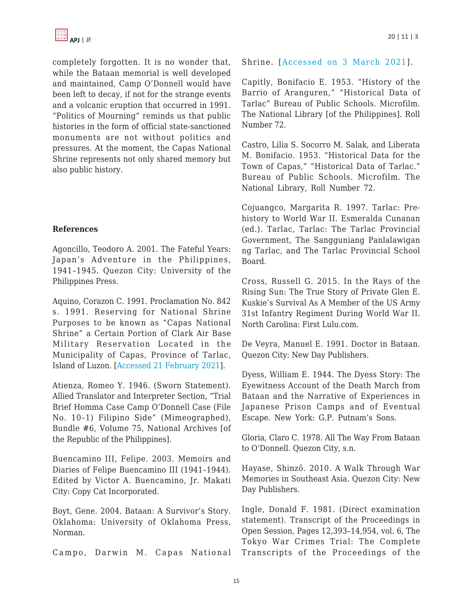completely forgotten. It is no wonder that, while the Bataan memorial is well developed and maintained, Camp O'Donnell would have been left to decay, if not for the strange events and a volcanic eruption that occurred in 1991. "Politics of Mourning" reminds us that public histories in the form of official state-sanctioned monuments are not without politics and pressures. At the moment, the Capas National Shrine represents not only shared memory but also public history.

# **References**

Agoncillo, Teodoro A. 2001. The Fateful Years: Japan's Adventure in the Philippines, 1941–1945. Quezon City: University of the Philippines Press.

Aquino, Corazon C. 1991. Proclamation No. 842 s. 1991. Reserving for National Shrine Purposes to be known as "Capas National Shrine" a Certain Portion of Clark Air Base Military Reservation Located in the Municipality of Capas, Province of Tarlac, Island of Luzon. [\[Accessed 21 February 2021](https://web.archive.org/web/20191109065524/https://www.officialgazette.gov.ph/1991/12/07/proclamation-no-842-s-1991/)].

Atienza, Romeo Y. 1946. (Sworn Statement). Allied Translator and Interpreter Section, "Trial Brief Homma Case Camp O'Donnell Case (File No. 10–1) Filipino Side" (Mimeographed), Bundle #6, Volume 75, National Archives [of the Republic of the Philippines].

Buencamino III, Felipe. 2003. Memoirs and Diaries of Felipe Buencamino III (1941–1944). Edited by Victor A. Buencamino, Jr. Makati City: Copy Cat Incorporated.

Boyt, Gene. 2004. Bataan: A Survivor's Story. Oklahoma: University of Oklahoma Press, Norman.

Campo, Darwin M. Capas National

Shrine. [[Accessed on 3 March 2021\]](https://pvao.gov.ph/capas-national-shrine/).

Capitly, Bonifacio E. 1953. "History of the Barrio of Aranguren," "Historical Data of Tarlac" Bureau of Public Schools. Microfilm. The National Library [of the Philippines]. Roll Number 72.

Castro, Lilia S. Socorro M. Salak, and Liberata M. Bonifacio. 1953. "Historical Data for the Town of Capas," "Historical Data of Tarlac." Bureau of Public Schools. Microfilm. The National Library, Roll Number 72.

Cojuangco, Margarita R. 1997. Tarlac: Prehistory to World War II. Esmeralda Cunanan (ed.). Tarlac, Tarlac: The Tarlac Provincial Government, The Sangguniang Panlalawigan ng Tarlac, and The Tarlac Provincial School Board.

Cross, Russell G. 2015. In the Rays of the Rising Sun: The True Story of Private Glen E. Kuskie's Survival As A Member of the US Army 31st Infantry Regiment During World War II. North Carolina: First Lulu.com.

De Veyra, Manuel E. 1991. Doctor in Bataan. Quezon City: New Day Publishers.

Dyess, William E. 1944. The Dyess Story: The Eyewitness Account of the Death March from Bataan and the Narrative of Experiences in Japanese Prison Camps and of Eventual Escape. New York: G.P. Putnam's Sons.

Gloria, Claro C. 1978. All The Way From Bataan to O'Donnell. Quezon City, s.n.

Hayase, Shinzō. 2010. A Walk Through War Memories in Southeast Asia. Quezon City: New Day Publishers.

Ingle, Donald F. 1981. (Direct examination statement). Transcript of the Proceedings in Open Session, Pages 12,393–14,954, vol. 6, The Tokyo War Crimes Trial: The Complete Transcripts of the Proceedings of the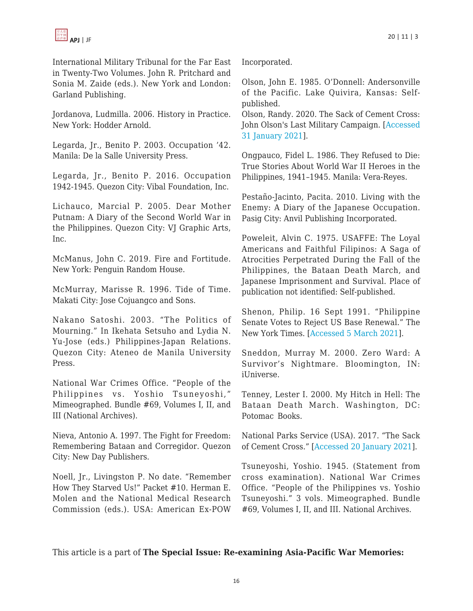International Military Tribunal for the Far East in Twenty-Two Volumes. John R. Pritchard and Sonia M. Zaide (eds.). New York and London: Garland Publishing.

Jordanova, Ludmilla. 2006. History in Practice. New York: Hodder Arnold.

Legarda, Jr., Benito P. 2003. Occupation '42. Manila: De la Salle University Press.

Legarda, Jr., Benito P. 2016. Occupation 1942-1945. Quezon City: Vibal Foundation, Inc.

Lichauco, Marcial P. 2005. Dear Mother Putnam: A Diary of the Second World War in the Philippines. Quezon City: VJ Graphic Arts, Inc.

McManus, John C. 2019. Fire and Fortitude. New York: Penguin Random House.

McMurray, Marisse R. 1996. Tide of Time. Makati City: Jose Cojuangco and Sons.

Nakano Satoshi. 2003. "The Politics of Mourning." In Ikehata Setsuho and Lydia N. Yu-Jose (eds.) Philippines-Japan Relations. Quezon City: Ateneo de Manila University Press.

National War Crimes Office. "People of the Philippines vs. Yoshio Tsuneyoshi," Mimeographed. Bundle #69, Volumes I, II, and III (National Archives).

Nieva, Antonio A. 1997. The Fight for Freedom: Remembering Bataan and Corregidor. Quezon City: New Day Publishers.

Noell, Jr., Livingston P. No date. "Remember How They Starved Us!" Packet #10. Herman E. Molen and the National Medical Research Commission (eds.). USA: American Ex-POW Incorporated.

Olson, John E. 1985. O'Donnell: Andersonville of the Pacific. Lake Quivira, Kansas: Selfpublished.

Olson, Randy. 2020. The Sack of Cement Cross: John Olson's Last Military Campaign. [[Accessed](https://www.facebook.com/watch/?v=1000587743712632) [31 January 2021](https://www.facebook.com/watch/?v=1000587743712632)].

Ongpauco, Fidel L. 1986. They Refused to Die: True Stories About World War II Heroes in the Philippines, 1941–1945. Manila: Vera-Reyes.

Pestaño-Jacinto, Pacita. 2010. Living with the Enemy: A Diary of the Japanese Occupation. Pasig City: Anvil Publishing Incorporated.

Poweleit, Alvin C. 1975. USAFFE: The Loyal Americans and Faithful Filipinos: A Saga of Atrocities Perpetrated During the Fall of the Philippines, the Bataan Death March, and Japanese Imprisonment and Survival. Place of publication not identified: Self-published.

Shenon, Philip. 16 Sept 1991. "Philippine Senate Votes to Reject US Base Renewal." The New York Times. [[Accessed 5 March 2021](https://www.nytimes.com/1991/09/16/world/philippine-senate-votes-to-reject-us-base-renewal.html)].

Sneddon, Murray M. 2000. Zero Ward: A Survivor's Nightmare. Bloomington, IN: iUniverse.

Tenney, Lester I. 2000. My Hitch in Hell: The Bataan Death March. Washington, DC: Potomac Books.

National Parks Service (USA). 2017. "The Sack of Cement Cross." [\[Accessed 20 January 2021\]](https://www.nps.gov/ande/learn/historyculture/sackofcementcross.htm#:~:text=The%20Camp%20O’%20Donnell%20Sack,the%20fierce%20battle%20for%20Bataan).

Tsuneyoshi, Yoshio. 1945. (Statement from cross examination). National War Crimes Office. "People of the Philippines vs. Yoshio Tsuneyoshi." 3 vols. Mimeographed. Bundle #69, Volumes I, II, and III. National Archives.

This article is a part of **The Special Issue: Re-examining Asia-Pacific War Memories:**